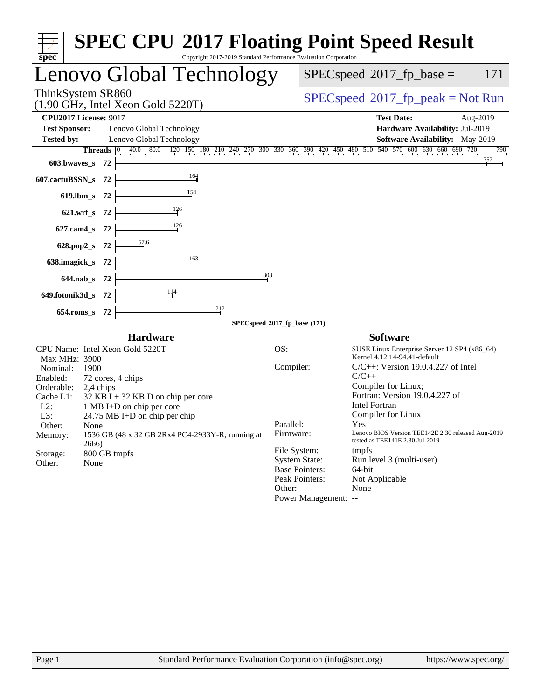| spec <sup>®</sup>                                                                                                                                                                                                                                                                                                                                                         | <b>SPEC CPU®2017 Floating Point Speed Result</b><br>Copyright 2017-2019 Standard Performance Evaluation Corporation                                                                                                                                                                                                                                                                                                                                                                                                          |
|---------------------------------------------------------------------------------------------------------------------------------------------------------------------------------------------------------------------------------------------------------------------------------------------------------------------------------------------------------------------------|------------------------------------------------------------------------------------------------------------------------------------------------------------------------------------------------------------------------------------------------------------------------------------------------------------------------------------------------------------------------------------------------------------------------------------------------------------------------------------------------------------------------------|
| Lenovo Global Technology                                                                                                                                                                                                                                                                                                                                                  | $SPEC speed^{\circ}2017$ _fp_base =<br>171                                                                                                                                                                                                                                                                                                                                                                                                                                                                                   |
| ThinkSystem SR860<br>$(1.90 \text{ GHz}, \text{Intel Xeon Gold } 5220 \text{T})$                                                                                                                                                                                                                                                                                          | $SPEC speed^{\circ}2017\_fp\_peak = Not Run$                                                                                                                                                                                                                                                                                                                                                                                                                                                                                 |
| <b>CPU2017 License: 9017</b><br><b>Test Sponsor:</b><br>Lenovo Global Technology<br><b>Tested by:</b><br>Lenovo Global Technology                                                                                                                                                                                                                                         | <b>Test Date:</b><br>Aug-2019<br>Hardware Availability: Jul-2019<br><b>Software Availability:</b> May-2019                                                                                                                                                                                                                                                                                                                                                                                                                   |
| <b>Threads</b><br>603.bwaves s 72                                                                                                                                                                                                                                                                                                                                         | 40.0 80.0 120 150 180 210 240 270 300 330 360 390 420 450 480 510 540 570 600 630 660 690 720<br>790<br>752                                                                                                                                                                                                                                                                                                                                                                                                                  |
| 164<br>607.cactuBSSN_s 72                                                                                                                                                                                                                                                                                                                                                 |                                                                                                                                                                                                                                                                                                                                                                                                                                                                                                                              |
| 154<br>$619$ .lbm_s<br>- 72<br>126<br>$621.wrf$ <sub>S</sub><br>- 72                                                                                                                                                                                                                                                                                                      |                                                                                                                                                                                                                                                                                                                                                                                                                                                                                                                              |
| 126<br>$627$ .cam $4$ <sub>S</sub><br>-72                                                                                                                                                                                                                                                                                                                                 |                                                                                                                                                                                                                                                                                                                                                                                                                                                                                                                              |
| 57.6<br>628.pop2_s<br>-72                                                                                                                                                                                                                                                                                                                                                 |                                                                                                                                                                                                                                                                                                                                                                                                                                                                                                                              |
| 163<br>638.imagick_s<br>-72                                                                                                                                                                                                                                                                                                                                               |                                                                                                                                                                                                                                                                                                                                                                                                                                                                                                                              |
| $644$ .nab s<br>- 72<br>114                                                                                                                                                                                                                                                                                                                                               | 308                                                                                                                                                                                                                                                                                                                                                                                                                                                                                                                          |
| 649.fotonik3d_s 72<br>212<br>-72<br>$654$ .roms s                                                                                                                                                                                                                                                                                                                         |                                                                                                                                                                                                                                                                                                                                                                                                                                                                                                                              |
|                                                                                                                                                                                                                                                                                                                                                                           | SPECspeed®2017_fp_base (171)                                                                                                                                                                                                                                                                                                                                                                                                                                                                                                 |
| <b>Hardware</b><br>CPU Name: Intel Xeon Gold 5220T                                                                                                                                                                                                                                                                                                                        | <b>Software</b><br>OS:<br>SUSE Linux Enterprise Server 12 SP4 (x86_64)                                                                                                                                                                                                                                                                                                                                                                                                                                                       |
| Max MHz: 3900<br>Nominal:<br>1900<br>Enabled:<br>72 cores, 4 chips<br>Orderable:<br>2,4 chips<br>Cache L1:<br>$32$ KB I + 32 KB D on chip per core<br>$L2$ :<br>1 MB I+D on chip per core<br>L3:<br>24.75 MB I+D on chip per chip<br>Other:<br>None<br>1536 GB (48 x 32 GB 2Rx4 PC4-2933Y-R, running at<br>Memory:<br>2666)<br>Storage:<br>800 GB tmpfs<br>Other:<br>None | Kernel 4.12.14-94.41-default<br>Compiler:<br>$C/C++$ : Version 19.0.4.227 of Intel<br>$C/C++$<br>Compiler for Linux;<br>Fortran: Version 19.0.4.227 of<br><b>Intel Fortran</b><br>Compiler for Linux<br>Parallel:<br>Yes<br>Lenovo BIOS Version TEE142E 2.30 released Aug-2019<br>Firmware:<br>tested as TEE141E 2.30 Jul-2019<br>File System:<br>tmpfs<br><b>System State:</b><br>Run level 3 (multi-user)<br><b>Base Pointers:</b><br>64-bit<br>Peak Pointers:<br>Not Applicable<br>Other:<br>None<br>Power Management: -- |
|                                                                                                                                                                                                                                                                                                                                                                           |                                                                                                                                                                                                                                                                                                                                                                                                                                                                                                                              |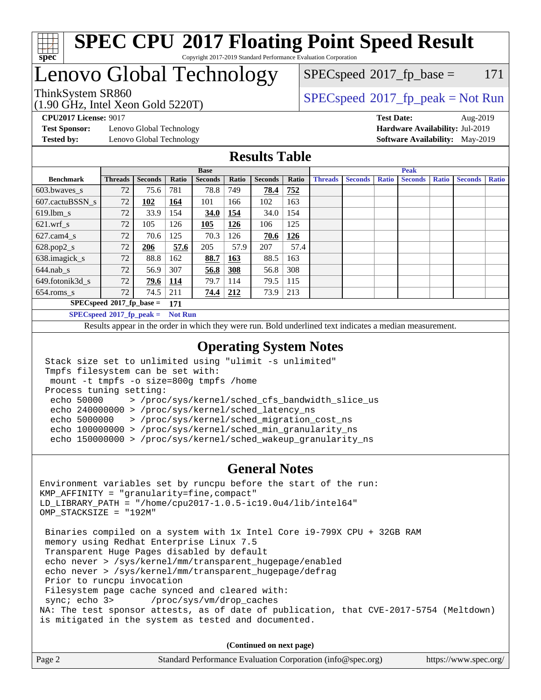

#### **[SPEC CPU](http://www.spec.org/auto/cpu2017/Docs/result-fields.html#SPECCPU2017FloatingPointSpeedResult)[2017 Floating Point Speed Result](http://www.spec.org/auto/cpu2017/Docs/result-fields.html#SPECCPU2017FloatingPointSpeedResult)** Copyright 2017-2019 Standard Performance Evaluation Corporation

# Lenovo Global Technology

## $SPECspeed^{\circledcirc}2017_fp\_base = 171$  $SPECspeed^{\circledcirc}2017_fp\_base = 171$

(1.90 GHz, Intel Xeon Gold 5220T)

ThinkSystem SR860<br>(1.00 GHz, Intel Year Gold 5220T) [SPECspeed](http://www.spec.org/auto/cpu2017/Docs/result-fields.html#SPECspeed2017fppeak)<sup>®</sup>[2017\\_fp\\_peak = N](http://www.spec.org/auto/cpu2017/Docs/result-fields.html#SPECspeed2017fppeak)ot Run

**[Test Sponsor:](http://www.spec.org/auto/cpu2017/Docs/result-fields.html#TestSponsor)** Lenovo Global Technology **[Hardware Availability:](http://www.spec.org/auto/cpu2017/Docs/result-fields.html#HardwareAvailability)** Jul-2019 **[Tested by:](http://www.spec.org/auto/cpu2017/Docs/result-fields.html#Testedby)** Lenovo Global Technology **[Software Availability:](http://www.spec.org/auto/cpu2017/Docs/result-fields.html#SoftwareAvailability)** May-2019

**[CPU2017 License:](http://www.spec.org/auto/cpu2017/Docs/result-fields.html#CPU2017License)** 9017 **[Test Date:](http://www.spec.org/auto/cpu2017/Docs/result-fields.html#TestDate)** Aug-2019

### **[Results Table](http://www.spec.org/auto/cpu2017/Docs/result-fields.html#ResultsTable)**

|                                    | <b>Base</b>    |                |            |                |              |                | <b>Peak</b> |                |                |              |                |              |                |              |
|------------------------------------|----------------|----------------|------------|----------------|--------------|----------------|-------------|----------------|----------------|--------------|----------------|--------------|----------------|--------------|
| <b>Benchmark</b>                   | <b>Threads</b> | <b>Seconds</b> | Ratio      | <b>Seconds</b> | <b>Ratio</b> | <b>Seconds</b> | Ratio       | <b>Threads</b> | <b>Seconds</b> | <b>Ratio</b> | <b>Seconds</b> | <b>Ratio</b> | <b>Seconds</b> | <b>Ratio</b> |
| 603.bwayes s                       | 72             | 75.6           | 781        | 78.8           | 749          | 78.4           | 752         |                |                |              |                |              |                |              |
| 607.cactuBSSN s                    | 72             | 102            | 164        | 101            | 166          | 102            | 163         |                |                |              |                |              |                |              |
| $619.1$ bm s                       | 72             | 33.9           | 154        | 34.0           | 154          | 34.0           | 154         |                |                |              |                |              |                |              |
| $621.wrf$ s                        | 72             | 105            | 126        | 105            | 126          | 106            | 125         |                |                |              |                |              |                |              |
| $627$ .cam $4 \text{ s}$           | 72             | 70.6           | 125        | 70.3           | 126          | 70.6           | <u>126</u>  |                |                |              |                |              |                |              |
| $628.pop2_s$                       | 72             | 206            | 57.6       | 205            | 57.9         | 207            | 57.4        |                |                |              |                |              |                |              |
| 638.imagick_s                      | 72             | 88.8           | 162        | 88.7           | 163          | 88.5           | 163         |                |                |              |                |              |                |              |
| $644$ .nab s                       | 72             | 56.9           | 307        | 56.8           | <u>308</u>   | 56.8           | 308         |                |                |              |                |              |                |              |
| 649.fotonik3d s                    | 72             | 79.6           | <u>114</u> | 79.7           | 114          | 79.5           | 115         |                |                |              |                |              |                |              |
| $654$ .roms s                      | 72             | 74.5           | 211        | 74.4           | 212          | 73.9           | 213         |                |                |              |                |              |                |              |
| $SPECspeed*2017_fp\_base =$<br>171 |                |                |            |                |              |                |             |                |                |              |                |              |                |              |
| $SPECspeed*2017_fp\_peak =$        | <b>Not Run</b> |                |            |                |              |                |             |                |                |              |                |              |                |              |

Results appear in the [order in which they were run.](http://www.spec.org/auto/cpu2017/Docs/result-fields.html#RunOrder) Bold underlined text [indicates a median measurement](http://www.spec.org/auto/cpu2017/Docs/result-fields.html#Median).

### **[Operating System Notes](http://www.spec.org/auto/cpu2017/Docs/result-fields.html#OperatingSystemNotes)**

```
 Stack size set to unlimited using "ulimit -s unlimited"
 Tmpfs filesystem can be set with:
 mount -t tmpfs -o size=800g tmpfs /home
 Process tuning setting:
  echo 50000 > /proc/sys/kernel/sched_cfs_bandwidth_slice_us
  echo 240000000 > /proc/sys/kernel/sched_latency_ns
  echo 5000000 > /proc/sys/kernel/sched_migration_cost_ns
  echo 100000000 > /proc/sys/kernel/sched_min_granularity_ns
  echo 150000000 > /proc/sys/kernel/sched_wakeup_granularity_ns
```
#### **[General Notes](http://www.spec.org/auto/cpu2017/Docs/result-fields.html#GeneralNotes)**

```
Environment variables set by runcpu before the start of the run:
KMP_AFFINITY = "granularity=fine,compact"
LD_LIBRARY_PATH = "/home/cpu2017-1.0.5-ic19.0u4/lib/intel64"
OMP_STACKSIZE = "192M"
  Binaries compiled on a system with 1x Intel Core i9-799X CPU + 32GB RAM
  memory using Redhat Enterprise Linux 7.5
  Transparent Huge Pages disabled by default
  echo never > /sys/kernel/mm/transparent_hugepage/enabled
  echo never > /sys/kernel/mm/transparent_hugepage/defrag
  Prior to runcpu invocation
 Filesystem page cache synced and cleared with:<br>sync: echo 3> /proc/sys/vm/drop_caches
                      /proc/sys/vm/drop_caches
NA: The test sponsor attests, as of date of publication, that CVE-2017-5754 (Meltdown)
is mitigated in the system as tested and documented.
```
**(Continued on next page)**

| Page 2 | Standard Performance Evaluation Corporation (info@spec.org) | https://www.spec.org/ |
|--------|-------------------------------------------------------------|-----------------------|
|        |                                                             |                       |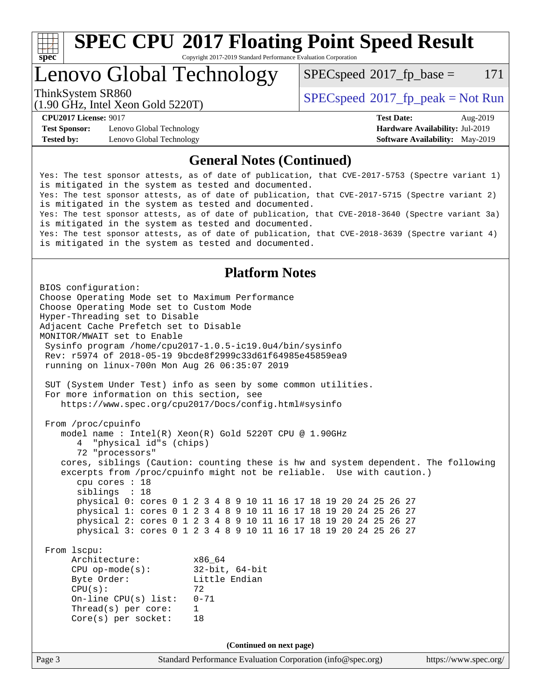

Copyright 2017-2019 Standard Performance Evaluation Corporation

Lenovo Global Technology

 $SPECspeed^{\circ}2017\_fp\_base = 171$  $SPECspeed^{\circ}2017\_fp\_base = 171$ 

(1.90 GHz, Intel Xeon Gold 5220T)

ThinkSystem SR860<br>(1.00 CHz, Intel Year Cald 5220T)  $SPECspeed^{\circ}2017\_fp\_peak = Not Run$  $SPECspeed^{\circ}2017\_fp\_peak = Not Run$ 

**[Test Sponsor:](http://www.spec.org/auto/cpu2017/Docs/result-fields.html#TestSponsor)** Lenovo Global Technology **[Hardware Availability:](http://www.spec.org/auto/cpu2017/Docs/result-fields.html#HardwareAvailability)** Jul-2019 **[Tested by:](http://www.spec.org/auto/cpu2017/Docs/result-fields.html#Testedby)** Lenovo Global Technology **[Software Availability:](http://www.spec.org/auto/cpu2017/Docs/result-fields.html#SoftwareAvailability)** May-2019

**[CPU2017 License:](http://www.spec.org/auto/cpu2017/Docs/result-fields.html#CPU2017License)** 9017 **[Test Date:](http://www.spec.org/auto/cpu2017/Docs/result-fields.html#TestDate)** Aug-2019

#### **[General Notes \(Continued\)](http://www.spec.org/auto/cpu2017/Docs/result-fields.html#GeneralNotes)**

Yes: The test sponsor attests, as of date of publication, that CVE-2017-5753 (Spectre variant 1) is mitigated in the system as tested and documented. Yes: The test sponsor attests, as of date of publication, that CVE-2017-5715 (Spectre variant 2) is mitigated in the system as tested and documented. Yes: The test sponsor attests, as of date of publication, that CVE-2018-3640 (Spectre variant 3a) is mitigated in the system as tested and documented. Yes: The test sponsor attests, as of date of publication, that CVE-2018-3639 (Spectre variant 4) is mitigated in the system as tested and documented.

### **[Platform Notes](http://www.spec.org/auto/cpu2017/Docs/result-fields.html#PlatformNotes)**

Page 3 Standard Performance Evaluation Corporation [\(info@spec.org\)](mailto:info@spec.org) <https://www.spec.org/> BIOS configuration: Choose Operating Mode set to Maximum Performance Choose Operating Mode set to Custom Mode Hyper-Threading set to Disable Adjacent Cache Prefetch set to Disable MONITOR/MWAIT set to Enable Sysinfo program /home/cpu2017-1.0.5-ic19.0u4/bin/sysinfo Rev: r5974 of 2018-05-19 9bcde8f2999c33d61f64985e45859ea9 running on linux-700n Mon Aug 26 06:35:07 2019 SUT (System Under Test) info as seen by some common utilities. For more information on this section, see <https://www.spec.org/cpu2017/Docs/config.html#sysinfo> From /proc/cpuinfo model name : Intel(R) Xeon(R) Gold 5220T CPU @ 1.90GHz 4 "physical id"s (chips) 72 "processors" cores, siblings (Caution: counting these is hw and system dependent. The following excerpts from /proc/cpuinfo might not be reliable. Use with caution.) cpu cores : 18 siblings : 18 physical 0: cores 0 1 2 3 4 8 9 10 11 16 17 18 19 20 24 25 26 27 physical 1: cores 0 1 2 3 4 8 9 10 11 16 17 18 19 20 24 25 26 27 physical 2: cores 0 1 2 3 4 8 9 10 11 16 17 18 19 20 24 25 26 27 physical 3: cores 0 1 2 3 4 8 9 10 11 16 17 18 19 20 24 25 26 27 From lscpu: Architecture: x86\_64 CPU op-mode(s): 32-bit, 64-bit Byte Order: Little Endian  $CPU(s):$  72 On-line CPU(s) list: 0-71 Thread(s) per core: 1 Core(s) per socket: 18 **(Continued on next page)**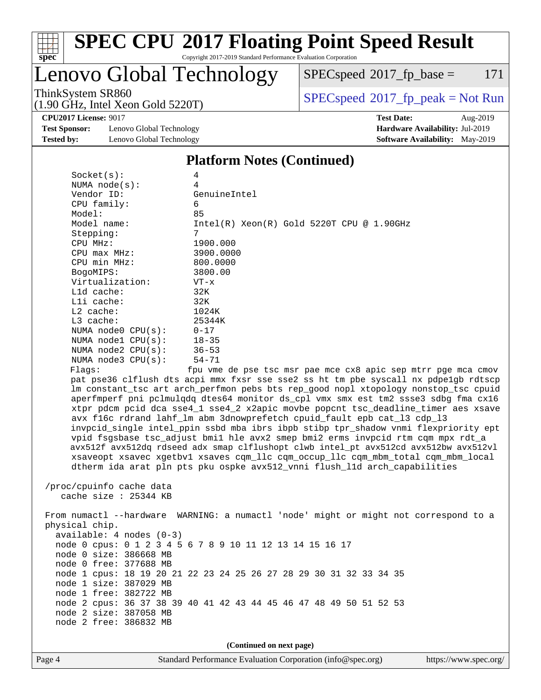

Copyright 2017-2019 Standard Performance Evaluation Corporation

# Lenovo Global Technology

 $SPECspeed@2017_fp\_base = 171$  $SPECspeed@2017_fp\_base = 171$ 

ThinkSystem SR860<br>(1.00 GHz, Intel Year Gold 5220T) [SPECspeed](http://www.spec.org/auto/cpu2017/Docs/result-fields.html#SPECspeed2017fppeak)<sup>®</sup>[2017\\_fp\\_peak = N](http://www.spec.org/auto/cpu2017/Docs/result-fields.html#SPECspeed2017fppeak)ot Run

**[CPU2017 License:](http://www.spec.org/auto/cpu2017/Docs/result-fields.html#CPU2017License)** 9017 **[Test Date:](http://www.spec.org/auto/cpu2017/Docs/result-fields.html#TestDate)** Aug-2019

**[Test Sponsor:](http://www.spec.org/auto/cpu2017/Docs/result-fields.html#TestSponsor)** Lenovo Global Technology **[Hardware Availability:](http://www.spec.org/auto/cpu2017/Docs/result-fields.html#HardwareAvailability)** Jul-2019 **[Tested by:](http://www.spec.org/auto/cpu2017/Docs/result-fields.html#Testedby)** Lenovo Global Technology **[Software Availability:](http://www.spec.org/auto/cpu2017/Docs/result-fields.html#SoftwareAvailability)** May-2019

(1.90 GHz, Intel Xeon Gold 5220T)

#### **[Platform Notes \(Continued\)](http://www.spec.org/auto/cpu2017/Docs/result-fields.html#PlatformNotes)**

| Socket(s):               | 4                                                                                    |
|--------------------------|--------------------------------------------------------------------------------------|
| NUMA $node(s)$ :         | $\overline{4}$                                                                       |
| Vendor ID:               | GenuineIntel                                                                         |
| CPU family:              | 6                                                                                    |
| Model:                   | 85                                                                                   |
| Model name:              | $Intel(R) Xeon(R) Gold 5220T CPU @ 1.90GHz$                                          |
| Stepping:                | $7\overline{ }$                                                                      |
| CPU MHz:                 | 1900.000                                                                             |
| $CPU$ max $MHz$ :        | 3900.0000                                                                            |
| CPU min MHz:             | 800.0000                                                                             |
| BogoMIPS:                | 3800.00                                                                              |
| Virtualization:          | $VT - x$                                                                             |
| L1d cache:               | 32K                                                                                  |
| Lli cache:               | 32K                                                                                  |
| $L2$ cache:              | 1024K                                                                                |
| L3 cache:                | 25344K                                                                               |
| NUMA node0 CPU(s):       | $0 - 17$                                                                             |
| NUMA nodel CPU(s):       | $18 - 35$                                                                            |
| NUMA $node2$ $CPU(s)$ :  | $36 - 53$                                                                            |
| NUMA node3 CPU(s):       | $54 - 71$                                                                            |
| Flaqs:                   | fpu vme de pse tsc msr pae mce cx8 apic sep mtrr pqe mca cmov                        |
|                          | pat pse36 clflush dts acpi mmx fxsr sse sse2 ss ht tm pbe syscall nx pdpe1gb rdtscp  |
|                          | Im constant_tsc art arch_perfmon pebs bts rep_good nopl xtopology nonstop_tsc cpuid  |
|                          | aperfmperf pni pclmulgdg dtes64 monitor ds_cpl vmx smx est tm2 ssse3 sdbg fma cx16   |
|                          | xtpr pdcm pcid dca sse4_1 sse4_2 x2apic movbe popcnt tsc_deadline_timer aes xsave    |
|                          | avx f16c rdrand lahf_lm abm 3dnowprefetch cpuid_fault epb cat_13 cdp_13              |
|                          | invpcid_single intel_ppin ssbd mba ibrs ibpb stibp tpr_shadow vnmi flexpriority ept  |
|                          | vpid fsgsbase tsc_adjust bmil hle avx2 smep bmi2 erms invpcid rtm cqm mpx rdt_a      |
|                          | avx512f avx512dq rdseed adx smap clflushopt clwb intel pt avx512cd avx512bw avx512vl |
|                          | xsaveopt xsavec xgetbvl xsaves cqm_llc cqm_occup_llc cqm_mbm_total cqm_mbm_local     |
|                          | dtherm ida arat pln pts pku ospke avx512_vnni flush_lld arch_capabilities            |
|                          |                                                                                      |
| /proc/cpuinfo cache data |                                                                                      |
| cache size $: 25344$ KB  |                                                                                      |
|                          | From numactl --hardware WARNING: a numactl 'node' might or might not correspond to a |
| physical chip.           |                                                                                      |
|                          |                                                                                      |

 available: 4 nodes (0-3) node 0 cpus: 0 1 2 3 4 5 6 7 8 9 10 11 12 13 14 15 16 17 node 0 size: 386668 MB node 0 free: 377688 MB node 1 cpus: 18 19 20 21 22 23 24 25 26 27 28 29 30 31 32 33 34 35 node 1 size: 387029 MB

 node 1 free: 382722 MB node 2 cpus: 36 37 38 39 40 41 42 43 44 45 46 47 48 49 50 51 52 53 node 2 size: 387058 MB node 2 free: 386832 MB

**(Continued on next page)**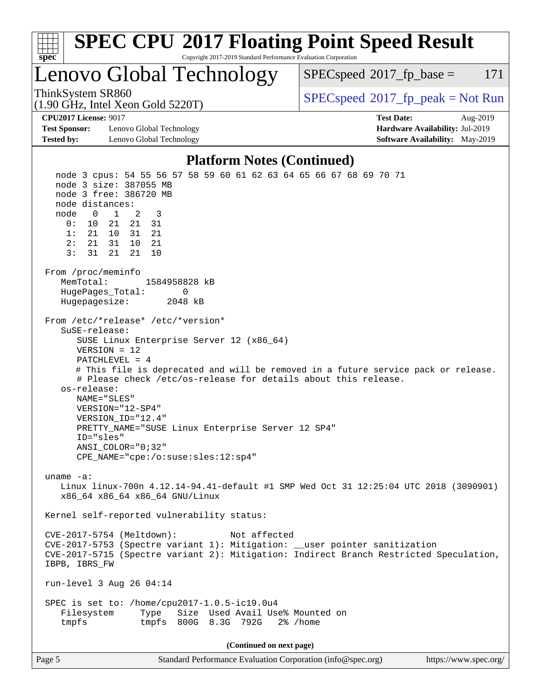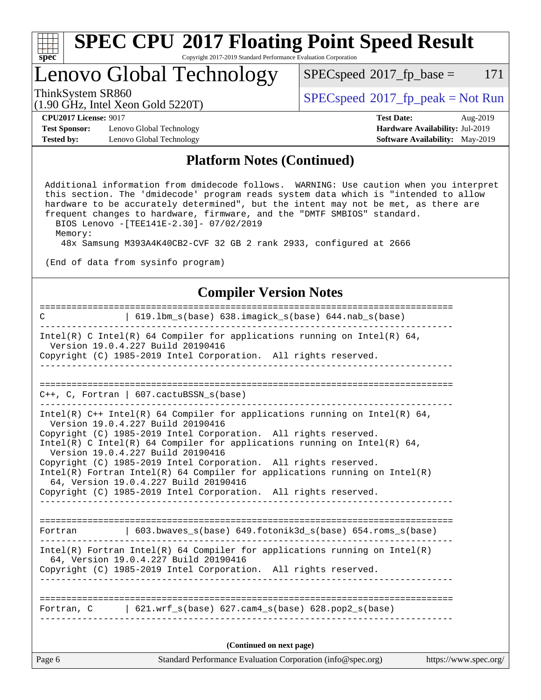| ч<br>e<br>ı.<br>c |  |  |  |  |  |  |
|-------------------|--|--|--|--|--|--|

Copyright 2017-2019 Standard Performance Evaluation Corporation

# Lenovo Global Technology

 $SPECspeed^{\circledcirc}2017_fp\_base = 171$  $SPECspeed^{\circledcirc}2017_fp\_base = 171$ 

(1.90 GHz, Intel Xeon Gold 5220T)

ThinkSystem SR860<br>(1.00 GHz, Intel Year Gold 5220T) [SPECspeed](http://www.spec.org/auto/cpu2017/Docs/result-fields.html#SPECspeed2017fppeak)<sup>®</sup>[2017\\_fp\\_peak = N](http://www.spec.org/auto/cpu2017/Docs/result-fields.html#SPECspeed2017fppeak)ot Run

**[Test Sponsor:](http://www.spec.org/auto/cpu2017/Docs/result-fields.html#TestSponsor)** Lenovo Global Technology **[Hardware Availability:](http://www.spec.org/auto/cpu2017/Docs/result-fields.html#HardwareAvailability)** Jul-2019 **[Tested by:](http://www.spec.org/auto/cpu2017/Docs/result-fields.html#Testedby)** Lenovo Global Technology **[Software Availability:](http://www.spec.org/auto/cpu2017/Docs/result-fields.html#SoftwareAvailability)** May-2019

**[CPU2017 License:](http://www.spec.org/auto/cpu2017/Docs/result-fields.html#CPU2017License)** 9017 **[Test Date:](http://www.spec.org/auto/cpu2017/Docs/result-fields.html#TestDate)** Aug-2019

#### **[Platform Notes \(Continued\)](http://www.spec.org/auto/cpu2017/Docs/result-fields.html#PlatformNotes)**

 Additional information from dmidecode follows. WARNING: Use caution when you interpret this section. The 'dmidecode' program reads system data which is "intended to allow hardware to be accurately determined", but the intent may not be met, as there are frequent changes to hardware, firmware, and the "DMTF SMBIOS" standard. BIOS Lenovo -[TEE141E-2.30]- 07/02/2019

Memory:

48x Samsung M393A4K40CB2-CVF 32 GB 2 rank 2933, configured at 2666

(End of data from sysinfo program)

#### **[Compiler Version Notes](http://www.spec.org/auto/cpu2017/Docs/result-fields.html#CompilerVersionNotes)**

| Standard Performance Evaluation Corporation (info@spec.org)<br>Page 6                                                                           | https://www.spec.org/ |
|-------------------------------------------------------------------------------------------------------------------------------------------------|-----------------------|
| (Continued on next page)                                                                                                                        |                       |
| Fortran, $C = \begin{bmatrix} 621. wrf_s(base) & 627. cam4_s(base) & 628. pop2_s(base) \end{bmatrix}$                                           |                       |
|                                                                                                                                                 |                       |
| 64, Version 19.0.4.227 Build 20190416<br>Copyright (C) 1985-2019 Intel Corporation. All rights reserved.                                        |                       |
| $Intel(R)$ Fortran Intel(R) 64 Compiler for applications running on Intel(R)                                                                    |                       |
| Fortran   603.bwaves_s(base) 649.fotonik3d_s(base) 654.roms_s(base)                                                                             |                       |
| Copyright (C) 1985-2019 Intel Corporation. All rights reserved.                                                                                 |                       |
| 64, Version 19.0.4.227 Build 20190416                                                                                                           |                       |
| Copyright (C) 1985-2019 Intel Corporation. All rights reserved.<br>Intel(R) Fortran Intel(R) 64 Compiler for applications running on $Intel(R)$ |                       |
| Version 19.0.4.227 Build 20190416                                                                                                               |                       |
| Copyright (C) 1985-2019 Intel Corporation. All rights reserved.<br>Intel(R) C Intel(R) 64 Compiler for applications running on Intel(R) 64,     |                       |
| Intel(R) $C++$ Intel(R) 64 Compiler for applications running on Intel(R) 64,<br>Version 19.0.4.227 Build 20190416                               |                       |
| $C_{++}$ , C, Fortran   607.cactuBSSN_s(base)                                                                                                   |                       |
|                                                                                                                                                 |                       |
| _ _ _ _ _ _ _ _ _ _ _                                                                                                                           |                       |
| Version 19.0.4.227 Build 20190416<br>Copyright (C) 1985-2019 Intel Corporation. All rights reserved.                                            |                       |
| Intel(R) C Intel(R) 64 Compiler for applications running on Intel(R) 64,                                                                        |                       |
| 619.1bm_s(base) 638.imagick_s(base) 644.nab_s(base)<br>$\mathbf C$                                                                              |                       |
|                                                                                                                                                 |                       |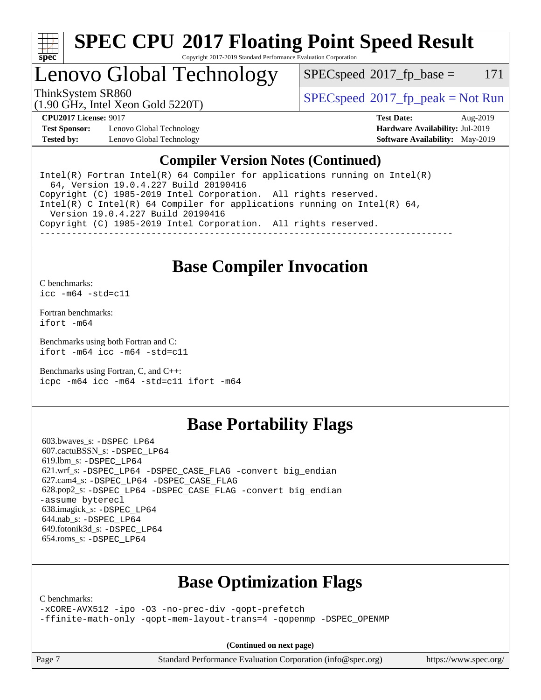

Copyright 2017-2019 Standard Performance Evaluation Corporation

# Lenovo Global Technology

 $SPEC speed^{\circ}2017\_fp\_base = 171$ 

(1.90 GHz, Intel Xeon Gold 5220T)

ThinkSystem SR860<br>(1.00 CHz, Intel Year Cald 5220T)  $SPECspeed^{\circ}2017\_fp\_peak = Not Run$  $SPECspeed^{\circ}2017\_fp\_peak = Not Run$ 

**[Test Sponsor:](http://www.spec.org/auto/cpu2017/Docs/result-fields.html#TestSponsor)** Lenovo Global Technology **[Hardware Availability:](http://www.spec.org/auto/cpu2017/Docs/result-fields.html#HardwareAvailability)** Jul-2019 **[Tested by:](http://www.spec.org/auto/cpu2017/Docs/result-fields.html#Testedby)** Lenovo Global Technology **[Software Availability:](http://www.spec.org/auto/cpu2017/Docs/result-fields.html#SoftwareAvailability)** May-2019

**[CPU2017 License:](http://www.spec.org/auto/cpu2017/Docs/result-fields.html#CPU2017License)** 9017 **[Test Date:](http://www.spec.org/auto/cpu2017/Docs/result-fields.html#TestDate)** Aug-2019

### **[Compiler Version Notes \(Continued\)](http://www.spec.org/auto/cpu2017/Docs/result-fields.html#CompilerVersionNotes)**

Intel(R) Fortran Intel(R)  $64$  Compiler for applications running on Intel(R) 64, Version 19.0.4.227 Build 20190416 Copyright (C) 1985-2019 Intel Corporation. All rights reserved. Intel(R) C Intel(R) 64 Compiler for applications running on Intel(R)  $64$ , Version 19.0.4.227 Build 20190416 Copyright (C) 1985-2019 Intel Corporation. All rights reserved. ------------------------------------------------------------------------------

## **[Base Compiler Invocation](http://www.spec.org/auto/cpu2017/Docs/result-fields.html#BaseCompilerInvocation)**

[C benchmarks](http://www.spec.org/auto/cpu2017/Docs/result-fields.html#Cbenchmarks):

[icc -m64 -std=c11](http://www.spec.org/cpu2017/results/res2019q3/cpu2017-20190902-17459.flags.html#user_CCbase_intel_icc_64bit_c11_33ee0cdaae7deeeab2a9725423ba97205ce30f63b9926c2519791662299b76a0318f32ddfffdc46587804de3178b4f9328c46fa7c2b0cd779d7a61945c91cd35)

[Fortran benchmarks](http://www.spec.org/auto/cpu2017/Docs/result-fields.html#Fortranbenchmarks): [ifort -m64](http://www.spec.org/cpu2017/results/res2019q3/cpu2017-20190902-17459.flags.html#user_FCbase_intel_ifort_64bit_24f2bb282fbaeffd6157abe4f878425411749daecae9a33200eee2bee2fe76f3b89351d69a8130dd5949958ce389cf37ff59a95e7a40d588e8d3a57e0c3fd751)

[Benchmarks using both Fortran and C](http://www.spec.org/auto/cpu2017/Docs/result-fields.html#BenchmarksusingbothFortranandC): [ifort -m64](http://www.spec.org/cpu2017/results/res2019q3/cpu2017-20190902-17459.flags.html#user_CC_FCbase_intel_ifort_64bit_24f2bb282fbaeffd6157abe4f878425411749daecae9a33200eee2bee2fe76f3b89351d69a8130dd5949958ce389cf37ff59a95e7a40d588e8d3a57e0c3fd751) [icc -m64 -std=c11](http://www.spec.org/cpu2017/results/res2019q3/cpu2017-20190902-17459.flags.html#user_CC_FCbase_intel_icc_64bit_c11_33ee0cdaae7deeeab2a9725423ba97205ce30f63b9926c2519791662299b76a0318f32ddfffdc46587804de3178b4f9328c46fa7c2b0cd779d7a61945c91cd35)

[Benchmarks using Fortran, C, and C++:](http://www.spec.org/auto/cpu2017/Docs/result-fields.html#BenchmarksusingFortranCandCXX) [icpc -m64](http://www.spec.org/cpu2017/results/res2019q3/cpu2017-20190902-17459.flags.html#user_CC_CXX_FCbase_intel_icpc_64bit_4ecb2543ae3f1412ef961e0650ca070fec7b7afdcd6ed48761b84423119d1bf6bdf5cad15b44d48e7256388bc77273b966e5eb805aefd121eb22e9299b2ec9d9) [icc -m64 -std=c11](http://www.spec.org/cpu2017/results/res2019q3/cpu2017-20190902-17459.flags.html#user_CC_CXX_FCbase_intel_icc_64bit_c11_33ee0cdaae7deeeab2a9725423ba97205ce30f63b9926c2519791662299b76a0318f32ddfffdc46587804de3178b4f9328c46fa7c2b0cd779d7a61945c91cd35) [ifort -m64](http://www.spec.org/cpu2017/results/res2019q3/cpu2017-20190902-17459.flags.html#user_CC_CXX_FCbase_intel_ifort_64bit_24f2bb282fbaeffd6157abe4f878425411749daecae9a33200eee2bee2fe76f3b89351d69a8130dd5949958ce389cf37ff59a95e7a40d588e8d3a57e0c3fd751)

## **[Base Portability Flags](http://www.spec.org/auto/cpu2017/Docs/result-fields.html#BasePortabilityFlags)**

 603.bwaves\_s: [-DSPEC\\_LP64](http://www.spec.org/cpu2017/results/res2019q3/cpu2017-20190902-17459.flags.html#suite_basePORTABILITY603_bwaves_s_DSPEC_LP64) 607.cactuBSSN\_s: [-DSPEC\\_LP64](http://www.spec.org/cpu2017/results/res2019q3/cpu2017-20190902-17459.flags.html#suite_basePORTABILITY607_cactuBSSN_s_DSPEC_LP64) 619.lbm\_s: [-DSPEC\\_LP64](http://www.spec.org/cpu2017/results/res2019q3/cpu2017-20190902-17459.flags.html#suite_basePORTABILITY619_lbm_s_DSPEC_LP64) 621.wrf\_s: [-DSPEC\\_LP64](http://www.spec.org/cpu2017/results/res2019q3/cpu2017-20190902-17459.flags.html#suite_basePORTABILITY621_wrf_s_DSPEC_LP64) [-DSPEC\\_CASE\\_FLAG](http://www.spec.org/cpu2017/results/res2019q3/cpu2017-20190902-17459.flags.html#b621.wrf_s_baseCPORTABILITY_DSPEC_CASE_FLAG) [-convert big\\_endian](http://www.spec.org/cpu2017/results/res2019q3/cpu2017-20190902-17459.flags.html#user_baseFPORTABILITY621_wrf_s_convert_big_endian_c3194028bc08c63ac5d04de18c48ce6d347e4e562e8892b8bdbdc0214820426deb8554edfa529a3fb25a586e65a3d812c835984020483e7e73212c4d31a38223) 627.cam4\_s: [-DSPEC\\_LP64](http://www.spec.org/cpu2017/results/res2019q3/cpu2017-20190902-17459.flags.html#suite_basePORTABILITY627_cam4_s_DSPEC_LP64) [-DSPEC\\_CASE\\_FLAG](http://www.spec.org/cpu2017/results/res2019q3/cpu2017-20190902-17459.flags.html#b627.cam4_s_baseCPORTABILITY_DSPEC_CASE_FLAG) 628.pop2\_s: [-DSPEC\\_LP64](http://www.spec.org/cpu2017/results/res2019q3/cpu2017-20190902-17459.flags.html#suite_basePORTABILITY628_pop2_s_DSPEC_LP64) [-DSPEC\\_CASE\\_FLAG](http://www.spec.org/cpu2017/results/res2019q3/cpu2017-20190902-17459.flags.html#b628.pop2_s_baseCPORTABILITY_DSPEC_CASE_FLAG) [-convert big\\_endian](http://www.spec.org/cpu2017/results/res2019q3/cpu2017-20190902-17459.flags.html#user_baseFPORTABILITY628_pop2_s_convert_big_endian_c3194028bc08c63ac5d04de18c48ce6d347e4e562e8892b8bdbdc0214820426deb8554edfa529a3fb25a586e65a3d812c835984020483e7e73212c4d31a38223) [-assume byterecl](http://www.spec.org/cpu2017/results/res2019q3/cpu2017-20190902-17459.flags.html#user_baseFPORTABILITY628_pop2_s_assume_byterecl_7e47d18b9513cf18525430bbf0f2177aa9bf368bc7a059c09b2c06a34b53bd3447c950d3f8d6c70e3faf3a05c8557d66a5798b567902e8849adc142926523472) 638.imagick\_s: [-DSPEC\\_LP64](http://www.spec.org/cpu2017/results/res2019q3/cpu2017-20190902-17459.flags.html#suite_basePORTABILITY638_imagick_s_DSPEC_LP64) 644.nab\_s: [-DSPEC\\_LP64](http://www.spec.org/cpu2017/results/res2019q3/cpu2017-20190902-17459.flags.html#suite_basePORTABILITY644_nab_s_DSPEC_LP64) 649.fotonik3d\_s: [-DSPEC\\_LP64](http://www.spec.org/cpu2017/results/res2019q3/cpu2017-20190902-17459.flags.html#suite_basePORTABILITY649_fotonik3d_s_DSPEC_LP64) 654.roms\_s: [-DSPEC\\_LP64](http://www.spec.org/cpu2017/results/res2019q3/cpu2017-20190902-17459.flags.html#suite_basePORTABILITY654_roms_s_DSPEC_LP64)

## **[Base Optimization Flags](http://www.spec.org/auto/cpu2017/Docs/result-fields.html#BaseOptimizationFlags)**

[C benchmarks](http://www.spec.org/auto/cpu2017/Docs/result-fields.html#Cbenchmarks):

[-xCORE-AVX512](http://www.spec.org/cpu2017/results/res2019q3/cpu2017-20190902-17459.flags.html#user_CCbase_f-xCORE-AVX512) [-ipo](http://www.spec.org/cpu2017/results/res2019q3/cpu2017-20190902-17459.flags.html#user_CCbase_f-ipo) [-O3](http://www.spec.org/cpu2017/results/res2019q3/cpu2017-20190902-17459.flags.html#user_CCbase_f-O3) [-no-prec-div](http://www.spec.org/cpu2017/results/res2019q3/cpu2017-20190902-17459.flags.html#user_CCbase_f-no-prec-div) [-qopt-prefetch](http://www.spec.org/cpu2017/results/res2019q3/cpu2017-20190902-17459.flags.html#user_CCbase_f-qopt-prefetch) [-ffinite-math-only](http://www.spec.org/cpu2017/results/res2019q3/cpu2017-20190902-17459.flags.html#user_CCbase_f_finite_math_only_cb91587bd2077682c4b38af759c288ed7c732db004271a9512da14a4f8007909a5f1427ecbf1a0fb78ff2a814402c6114ac565ca162485bbcae155b5e4258871) [-qopt-mem-layout-trans=4](http://www.spec.org/cpu2017/results/res2019q3/cpu2017-20190902-17459.flags.html#user_CCbase_f-qopt-mem-layout-trans_fa39e755916c150a61361b7846f310bcdf6f04e385ef281cadf3647acec3f0ae266d1a1d22d972a7087a248fd4e6ca390a3634700869573d231a252c784941a8) [-qopenmp](http://www.spec.org/cpu2017/results/res2019q3/cpu2017-20190902-17459.flags.html#user_CCbase_qopenmp_16be0c44f24f464004c6784a7acb94aca937f053568ce72f94b139a11c7c168634a55f6653758ddd83bcf7b8463e8028bb0b48b77bcddc6b78d5d95bb1df2967) [-DSPEC\\_OPENMP](http://www.spec.org/cpu2017/results/res2019q3/cpu2017-20190902-17459.flags.html#suite_CCbase_DSPEC_OPENMP)

**(Continued on next page)**

Page 7 Standard Performance Evaluation Corporation [\(info@spec.org\)](mailto:info@spec.org) <https://www.spec.org/>